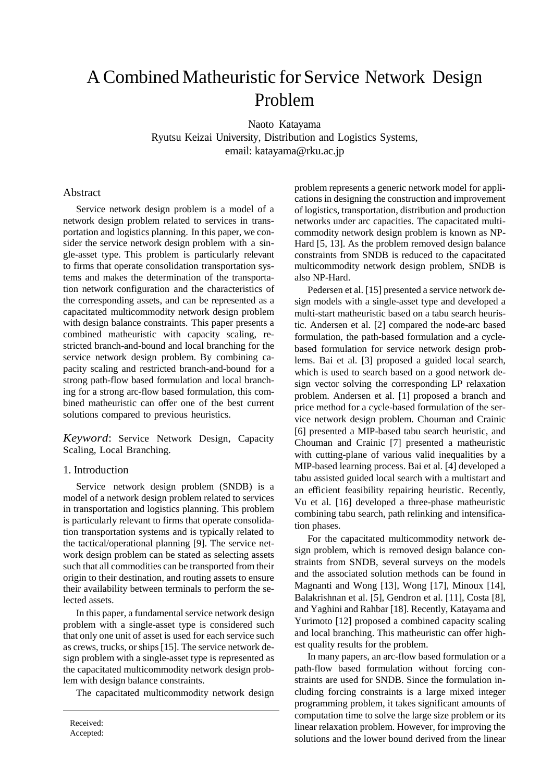# A Combined Matheuristic for Service Network Design Problem

Naoto Katayama Ryutsu Keizai University, Distribution and Logistics Systems, [email:](mailto:katayama@rku.ac.jp) kata[yama@rku.ac.jp](mailto:katayama@rku.ac.jp)

# Abstract

Service network design problem is a model of a network design problem related to services in transportation and logistics planning. In this paper, we consider the service network design problem with a single-asset type. This problem is particularly relevant to firms that operate consolidation transportation systems and makes the determination of the transportation network configuration and the characteristics of the corresponding assets, and can be represented as a capacitated multicommodity network design problem with design balance constraints. This paper presents a combined matheuristic with capacity scaling, restricted branch-and-bound and local branching for the service network design problem. By combining capacity scaling and restricted branch-and-bound for a strong path-flow based formulation and local branching for a strong arc-flow based formulation, this combined matheuristic can offer one of the best current solutions compared to previous heuristics.

*Keyword*: Service Network Design, Capacity Scaling, Local Branching.

# 1. Introduction

Service network design problem (SNDB) is a model of a network design problem related to services in transportation and logistics planning. This problem is particularly relevant to firms that operate consolidation transportation systems and is typically related to the tactical/operational planning [9]. The service network design problem can be stated as selecting assets such that all commodities can be transported from their origin to their destination, and routing assets to ensure their availability between terminals to perform the selected assets.

In this paper, a fundamental service network design problem with a single-asset type is considered such that only one unit of asset is used for each service such as crews, trucks, or ships [15]. The service network design problem with a single-asset type is represented as the capacitated multicommodity network design problem with design balance constraints.

The capacitated multicommodity network design

problem represents a generic network model for applications in designing the construction and improvement of logistics, transportation, distribution and production networks under arc capacities. The capacitated multicommodity network design problem is known as NP-Hard [5, 13]. As the problem removed design balance constraints from SNDB is reduced to the capacitated multicommodity network design problem, SNDB is also NP-Hard.

Pedersen et al. [15] presented a service network design models with a single-asset type and developed a multi-start matheuristic based on a tabu search heuristic. Andersen et al. [2] compared the node-arc based formulation, the path-based formulation and a cyclebased formulation for service network design problems. Bai et al. [3] proposed a guided local search, which is used to search based on a good network design vector solving the corresponding LP relaxation problem. Andersen et al. [1] proposed a branch and price method for a cycle-based formulation of the service network design problem. Chouman and Crainic [6] presented a MIP-based tabu search heuristic, and Chouman and Crainic [7] presented a matheuristic with cutting-plane of various valid inequalities by a MIP-based learning process. Bai et al. [4] developed a tabu assisted guided local search with a multistart and an efficient feasibility repairing heuristic. Recently, Vu et al. [16] developed a three-phase matheuristic combining tabu search, path relinking and intensification phases.

For the capacitated multicommodity network design problem, which is removed design balance constraints from SNDB, several surveys on the models and the associated solution methods can be found in Magnanti and Wong [13], Wong [17], Minoux [14], Balakrishnan et al. [5], Gendron et al. [11], Costa [8], and Yaghini and Rahbar [18]. Recently, Katayama and Yurimoto [12] proposed a combined capacity scaling and local branching. This matheuristic can offer highest quality results for the problem.

In many papers, an arc-flow based formulation or a path-flow based formulation without forcing constraints are used for SNDB. Since the formulation including forcing constraints is a large mixed integer programming problem, it takes significant amounts of computation time to solve the large size problem or its linear relaxation problem. However, for improving the solutions and the lower bound derived from the linear

Received: Accepted: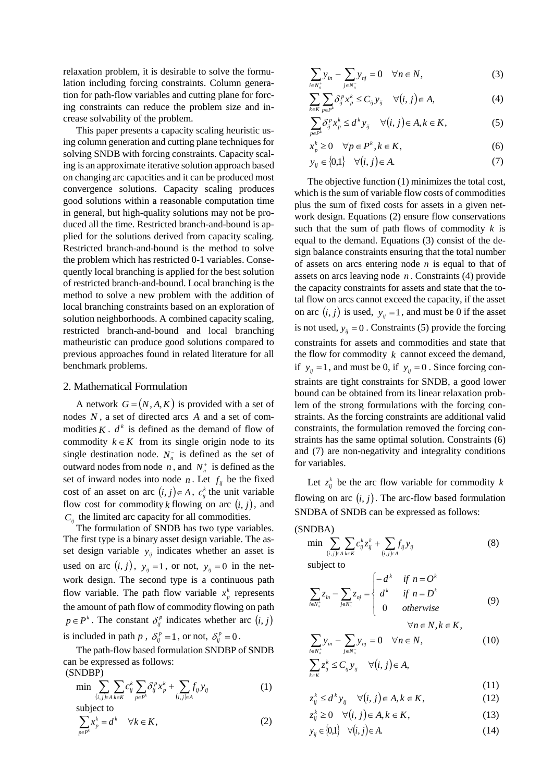relaxation problem, it is desirable to solve the formulation including forcing constraints. Column generation for path-flow variables and cutting plane for forcing constraints can reduce the problem size and increase solvability of the problem.

This paper presents a capacity scaling heuristic using column generation and cutting plane techniques for solving SNDB with forcing constraints. Capacity scaling is an approximate iterative solution approach based on changing arc capacities and it can be produced most convergence solutions. Capacity scaling produces good solutions within a reasonable computation time in general, but high-quality solutions may not be produced all the time. Restricted branch-and-bound is applied for the solutions derived from capacity scaling. Restricted branch-and-bound is the method to solve the problem which has restricted 0-1 variables. Consequently local branching is applied for the best solution of restricted branch-and-bound. Local branching is the method to solve a new problem with the addition of local branching constraints based on an exploration of solution neighborhoods. A combined capacity scaling, restricted branch-and-bound and local branching matheuristic can produce good solutions compared to previous approaches found in related literature for all benchmark problems.

# 2. Mathematical Formulation

A network  $G = (N, A, K)$  is provided with a set of nodes *N* , a set of directed arcs *A* and a set of commodities  $K \cdot d^k$  is defined as the demand of flow of commodity  $k \in K$  from its single origin node to its single destination node.  $N_n^-$  is defined as the set of outward nodes from node  $n$ , and  $N_n^+$  is defined as the set of inward nodes into node *n*. Let  $f_{ij}$  be the fixed cost of an asset on arc  $(i, j) \in A$ ,  $c_{ij}^k$  the unit variable flow cost for commodity *k* flowing on arc  $(i, j)$ , and  $C_{ij}$  the limited arc capacity for all commodities.

The formulation of SNDB has two type variables. The first type is a binary asset design variable. The asset design variable  $y_{ij}$  indicates whether an asset is used on arc  $(i, j)$ ,  $y_{ij} = 1$ , or not,  $y_{ij} = 0$  in the network design. The second type is a continuous path flow variable. The path flow variable  $x_p^k$  represents the amount of path flow of commodity flowing on path  $p \in P^k$ . The constant  $\delta_{ij}^p$  indicates whether arc  $(i, j)$ is included in path *p*,  $\delta_i^p = 1$ , or not,  $\delta_i^p = 0$ .

The path-flow based formulation SNDBP of SNDB can be expressed as follows: (SNDBP)

$$
\min \sum_{(i,j)\in A} \sum_{k\in K} c_{ij}^k \sum_{p\in P^k} \delta_{ij}^p x_p^k + \sum_{(i,j)\in A} f_{ij} y_{ij}
$$
\n(1)

\nsubject to

$$
\sum_{p \in P^k} x_p^k = d^k \quad \forall k \in K,
$$
\n(2)

$$
\sum_{i \in N_n^+} y_{in} - \sum_{j \in N_n^-} y_{nj} = 0 \quad \forall n \in N,
$$
\n(3)

$$
\sum_{k \in K} \sum_{p \in P^k} \delta_{ij}^p x_p^k \le C_{ij} y_{ij} \quad \forall (i, j) \in A,
$$
\n(4)

$$
\sum_{p \in P^k} \delta_{ij}^p x_p^k \le d^k y_{ij} \quad \forall (i, j) \in A, k \in K,
$$
 (5)

$$
x_p^k \ge 0 \quad \forall p \in P^k, k \in K,
$$
\n<sup>(6)</sup>

$$
y_{ij} \in \{0,1\} \quad \forall (i,j) \in A. \tag{7}
$$

The objective function (1) minimizes the total cost, which is the sum of variable flow costs of commodities plus the sum of fixed costs for assets in a given network design. Equations (2) ensure flow conservations such that the sum of path flows of commodity  $k$  is equal to the demand. Equations (3) consist of the design balance constraints ensuring that the total number of assets on arcs entering node *n* is equal to that of assets on arcs leaving node *n* . Constraints (4) provide the capacity constraints for assets and state that the total flow on arcs cannot exceed the capacity, if the asset on arc  $(i, j)$  is used,  $y_{ij} = 1$ , and must be 0 if the asset is not used,  $y_{ij} = 0$ . Constraints (5) provide the forcing constraints for assets and commodities and state that the flow for commodity *k* cannot exceed the demand, if  $y_{ij} = 1$ , and must be 0, if  $y_{ij} = 0$ . Since forcing constraints are tight constraints for SNDB, a good lower bound can be obtained from its linear relaxation problem of the strong formulations with the forcing constraints. As the forcing constraints are additional valid constraints, the formulation removed the forcing constraints has the same optimal solution. Constraints (6) and (7) are non-negativity and integrality conditions for variables.

Let  $z_{ij}^k$  be the arc flow variable for commodity *k* flowing on arc  $(i, j)$ . The arc-flow based formulation SNDBA of SNDB can be expressed as follows:

$$
\begin{array}{c}\n\text{(SNDBA)}\\
\text{min} \ \nabla \ \nabla c^k \tau^k + \nabla c^k \tau^k\n\end{array}
$$

$$
\min \sum_{(i,j)\in A} \sum_{k\in K} c_{ij}^k z_{ij}^k + \sum_{(i,j)\in A} f_{ij} y_{ij}
$$
\n
$$
(8)
$$

subject to

$$
\sum_{i \in N_n^+} z_{in} - \sum_{j \in N_n^-} z_{nj} = \begin{cases} -d^k & \text{if } n = O^k\\ d^k & \text{if } n = D^k\\ 0 & \text{otherwise} \end{cases}
$$
(9)

$$
\forall n \in N, k \in K,
$$
  
\n
$$
\sum_{i \in N_n^+} y_{in} - \sum_{j \in N_n^-} y_{nj} = 0 \quad \forall n \in N,
$$
  
\n
$$
\sum_{k \in K} z_{ij}^k \le C_{ij} y_{ij} \quad \forall (i, j) \in A,
$$
  
\n(10)

$$
\tag{11}
$$

$$
z_{ij}^k \le d^k y_{ij} \quad \forall (i, j) \in A, k \in K,
$$
\n(12)

$$
z_{ij}^k \ge 0 \quad \forall (i, j) \in A, k \in K,
$$
  
\n
$$
y_{ij} \in \{0,1\} \quad \forall (i, j) \in A.
$$
\n(13)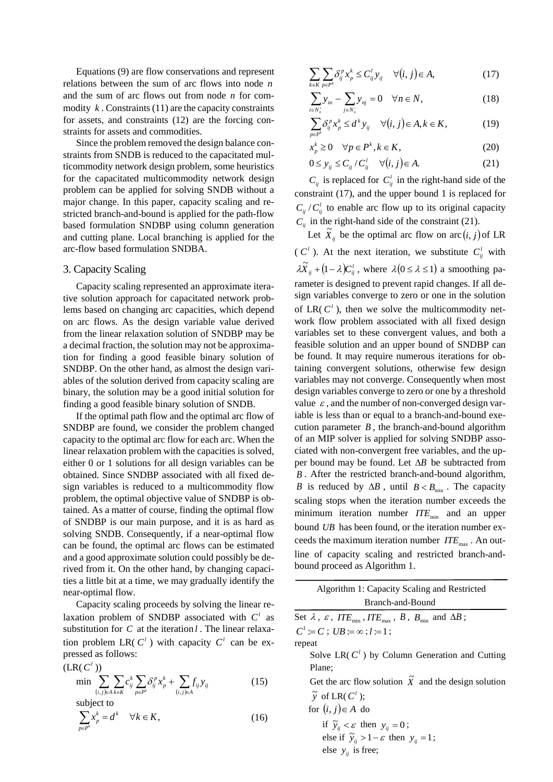Equations (9) are flow conservations and represent relations between the sum of arc flows into node *n* and the sum of arc flows out from node *n* for commodity  $k$ . Constraints (11) are the capacity constraints for assets, and constraints (12) are the forcing constraints for assets and commodities.

Since the problem removed the design balance constraints from SNDB is reduced to the capacitated multicommodity network design problem, some heuristics for the capacitated multicommodity network design problem can be applied for solving SNDB without a major change. In this paper, capacity scaling and restricted branch-and-bound is applied for the path-flow based formulation SNDBP using column generation and cutting plane. Local branching is applied for the arc-flow based formulation SNDBA.

# 3. Capacity Scaling

Capacity scaling represented an approximate iterative solution approach for capacitated network problems based on changing arc capacities, which depend on arc flows. As the design variable value derived from the linear relaxation solution of SNDBP may be a decimal fraction, the solution may not be approximation for finding a good feasible binary solution of SNDBP. On the other hand, as almost the design variables of the solution derived from capacity scaling are binary, the solution may be a good initial solution for finding a good feasible binary solution of SNDB.

If the optimal path flow and the optimal arc flow of SNDBP are found, we consider the problem changed capacity to the optimal arc flow for each arc. When the linear relaxation problem with the capacities is solved, either 0 or 1 solutions for all design variables can be obtained. Since SNDBP associated with all fixed design variables is reduced to a multicommodity flow problem, the optimal objective value of SNDBP is obtained. As a matter of course, finding the optimal flow of SNDBP is our main purpose, and it is as hard as solving SNDB. Consequently, if a near-optimal flow can be found, the optimal arc flows can be estimated and a good approximate solution could possibly be derived from it. On the other hand, by changing capacities a little bit at a time, we may gradually identify the near-optimal flow.

Capacity scaling proceeds by solving the linear relaxation problem of SNDBP associated with  $C^{\prime}$  as substitution for *C* at the iteration *l* . The linear relaxation problem LR( $C^l$ ) with capacity  $C^l$  can be expressed as follows:

$$
(\text{LR}(C^l))
$$

$$
\min \sum_{(i,j)\in A} \sum_{k\in K} c_{ij}^k \sum_{p\in P^k} \delta_{ij}^p x_p^k + \sum_{(i,j)\in A} f_{ij} y_{ij}
$$
\nsubject to

\n
$$
(15)
$$

$$
\sum_{p \in P^k} x_p^k = d^k \quad \forall k \in K,
$$
\n(16)

$$
\sum_{k \in K} \sum_{p \in P^k} \delta_{ij}^p x_p^k \le C_{ij}^l y_{ij} \quad \forall (i, j) \in A,
$$
\n(17)

$$
\sum_{i \in N_n^+} y_{in} - \sum_{j \in N_n^-} y_{nj} = 0 \quad \forall n \in N,
$$
\n(18)

$$
\sum_{p \in P^k} \delta_{ij}^p x_p^k \le d^k y_{ij} \quad \forall (i, j) \in A, k \in K,
$$
 (19)

$$
x_p^k \ge 0 \quad \forall p \in P^k, k \in K,
$$
\n<sup>(20)</sup>

$$
0 \le y_{ij} \le C_{ij} / C_{ij}^l \quad \forall (i, j) \in A. \tag{21}
$$

 $C_{ij}$  is replaced for  $C_{ij}$  in the right-hand side of the constraint (17), and the upper bound 1 is replaced for  $C_i/C_i^l$  to enable arc flow up to its original capacity  $C_{ij}$  in the right-hand side of the constraint (21).

Let  $\tilde{X}_{ij}$  be the optimal arc flow on arc  $(i, j)$  of LR ( $C^l$ ). At the next iteration, we substitute  $C^l_{ij}$  with  $\lambda \tilde{X}_{ij} + (1 - \lambda) C_{ij}^l$ , where  $\lambda (0 \le \lambda \le 1)$  a smoothing parameter is designed to prevent rapid changes. If all design variables converge to zero or one in the solution of LR( $C<sup>l</sup>$ ), then we solve the multicommodity network flow problem associated with all fixed design variables set to these convergent values, and both a feasible solution and an upper bound of SNDBP can be found. It may require numerous iterations for obtaining convergent solutions, otherwise few design variables may not converge. Consequently when most design variables converge to zero or one by a threshold value  $\varepsilon$ , and the number of non-converged design variable is less than or equal to a branch-and-bound execution parameter *B* , the branch-and-bound algorithm of an MIP solver is applied for solving SNDBP associated with non-convergent free variables, and the upper bound may be found. Let ∆*B* be subtracted from *B* . After the restricted branch-and-bound algorithm, *B* is reduced by  $\Delta B$ , until *B* < *B*<sub>min</sub>. The capacity scaling stops when the iteration number exceeds the minimum iteration number *ITE*<sub>min</sub> and an upper bound *UB* has been found, or the iteration number exceeds the maximum iteration number  $ITE_{\text{max}}$ . An outline of capacity scaling and restricted branch-andbound proceed as Algorithm 1.

else  $y_{ij}$  is free;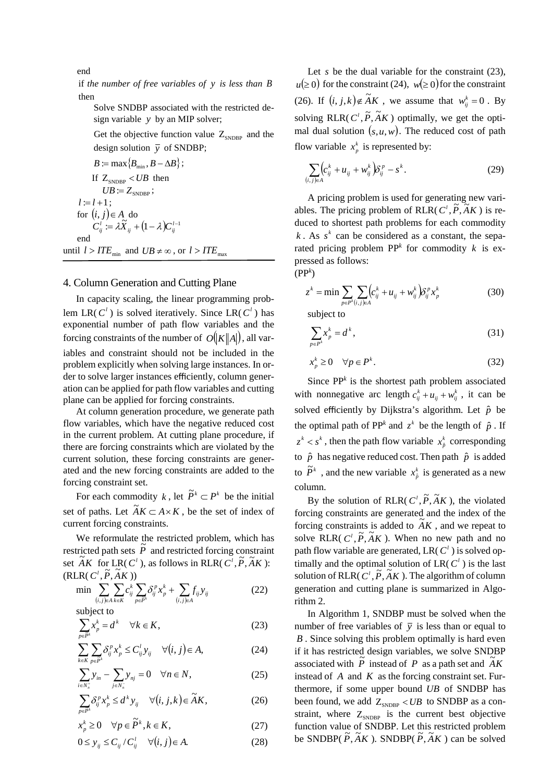end

if *the number of free variables of y is less than B* then

Solve SNDBP associated with the restricted design variable *y* by an MIP solver;

Get the objective function value  $Z_{SNDBP}$  and the design solution  $\overline{y}$  of SNDBP;

$$
B := \max\{B_{\min}, B - \Delta B\};
$$
  
If  $Z_{\text{SNDBP}} < UB$  then  
 $UB := Z_{\text{SNDBP}};$   
 $l := l + 1;$   
for  $(i, j) \in A$  do  
 $C_{ij}^l := \lambda \widetilde{X}_{ij} + (1 - \lambda)C_{ij}^{l-1}$   
end  
until  $l > TTE_{\min}$  and  $UB \neq \infty$ , or  $l > TTE_{\max}$ 

# 4. Column Generation and Cutting Plane

In capacity scaling, the linear programming problem LR( $C^l$ ) is solved iteratively. Since LR( $C^l$ ) has exponential number of path flow variables and the forcing constraints of the number of  $O(|K||A|)$ , all variables and constraint should not be included in the problem explicitly when solving large instances. In order to solve larger instances efficiently, column generation can be applied for path flow variables and cutting plane can be applied for forcing constraints.

At column generation procedure, we generate path flow variables, which have the negative reduced cost in the current problem. At cutting plane procedure, if there are forcing constraints which are violated by the current solution, these forcing constraints are generated and the new forcing constraints are added to the forcing constraint set.

For each commodity *k*, let  $\tilde{P}^k \subset P^k$  be the initial set of paths. Let  $\widetilde{A}K \subset A \times K$ , be the set of index of current forcing constraints.

We reformulate the restricted problem, which has restricted path sets  $\tilde{P}$  and restricted forcing constraint set  $\widetilde{A}K$  for LR( $C^l$ ), as follows in RLR( $C^l$ ,  $\widetilde{P}$ ,  $\widetilde{A}K$ ):  $(RLR(C^l, \tilde{P}, \tilde{A}K))$ 

$$
\min \sum_{(i,j)\in A} \sum_{k\in K} c_{ij}^k \sum_{p\in \tilde{P}^k} \delta_{ij}^p x_p^k + \sum_{(i,j)\in A} f_{ij} y_{ij} \tag{22}
$$

subject to

$$
\sum_{p \in \tilde{P}^k} x_p^k = d^k \quad \forall k \in K,
$$
\n(23)

$$
\sum_{k \in K} \sum_{p \in \tilde{P}^k} \delta_{ij}^p x_p^k \le C_{ij}^l y_{ij} \quad \forall (i, j) \in A,
$$
\n(24)

$$
\sum_{i \in N_n^+} y_{in} - \sum_{j \in N_n^-} y_{nj} = 0 \quad \forall n \in N,
$$
\n(25)

$$
\sum_{p \in \widetilde{P}^k} \delta_{ij}^p x_p^k \le d^k y_{ij} \quad \forall (i, j, k) \in \widetilde{A}K,
$$
 (26)

$$
x_p^k \ge 0 \quad \forall p \in \widetilde{P}^k, k \in K,
$$
\n<sup>(27)</sup>

$$
0 \le y_{ij} \le C_{ij} / C_{ij}^l \quad \forall (i, j) \in A. \tag{28}
$$

Let *s* be the dual variable for the constraint (23),  $u(\geq 0)$  for the constraint (24),  $w(\geq 0)$  for the constraint (26). If  $(i, j, k) \notin \widetilde{A}K$ , we assume that  $w_{ij}^k = 0$ . By solving RLR( $C^l$ ,  $\widetilde{P}$ ,  $\widetilde{A}K$ ) optimally, we get the optimal dual solution  $(s, u, w)$ . The reduced cost of path flow variable  $x_p^k$  is represented by:

$$
\sum_{(i,j)\in A} (c_{ij}^k + u_{ij} + w_{ij}^k) \delta_{ij}^p - s^k.
$$
 (29)

A pricing problem is used for generating new variables. The pricing problem of RLR( $C^l$ ,  $\tilde{P}$ ,  $\tilde{A}K$ ) is reduced to shortest path problems for each commodity  $k$ . As  $s^k$  can be considered as a constant, the separated pricing problem  $PP^k$  for commodity  $k$  is expressed as follows:

 $(PP^k)$ 

$$
z^{k} = \min \sum_{p \in P^{k}(i,j) \in A} \left( c_{ij}^{k} + u_{ij} + w_{ij}^{k} \right) \delta_{ij}^{p} x_{p}^{k}
$$
(30)

subject to

$$
\sum_{p \in P^k} x_p^k = d^k, \tag{31}
$$

$$
x_p^k \ge 0 \quad \forall p \in P^k. \tag{32}
$$

Since  $PP<sup>k</sup>$  is the shortest path problem associated with nonnegative arc length  $c_{ij}^k + u_{ij} + w_{ij}^k$ , it can be solved efficiently by Dijkstra's algorithm. Let  $\hat{p}$  be the optimal path of PP<sup>k</sup> and  $z^k$  be the length of  $\hat{p}$ . If  $z^k < s^k$ , then the path flow variable  $x^k_{\hat{p}}$  corresponding to  $\hat{p}$  has negative reduced cost. Then path  $\hat{p}$  is added to  $\widetilde{P}^k$ , and the new variable  $x_{\hat{p}}^k$  is generated as a new column.

By the solution of RLR( $C^l$ ,  $\tilde{P}$ ,  $\tilde{A}K$ ), the violated forcing constraints are generated and the index of the forcing constraints are generated and the metal of  $\alpha$ solve RLR(  $C^l$ ,  $\tilde{P}$ ,  $\tilde{A}K$ ). When no new path and no path flow variable are generated, LR( $C<sup>l</sup>$ ) is solved optimally and the optimal solution of  $LR(C^l)$  is the last solution of RLR( $C^l$ ,  $\tilde{P}$ ,  $\tilde{A}K$ ). The algorithm of column generation and cutting plane is summarized in Algorithm 2.

In Algorithm 1, SNDBP must be solved when the number of free variables of  $\overline{y}$  is less than or equal to *B* . Since solving this problem optimally is hard even if it has restricted design variables, we solve SNDBP associated with  $\tilde{P}$  instead of *P* as a path set and  $\tilde{A}K$ instead of  $A$  and  $K$  as the forcing constraint set. Furthermore, if some upper bound *UB* of SNDBP has been found, we add  $Z_{SNDBP} < UB$  to SNDBP as a constraint, where  $Z_{SNDBP}$  is the current best objective function value of SNDBP. Let this restricted problem be SNDBP( $\tilde{P}$ ,  $\tilde{A}K$ ). SNDBP( $\tilde{P}$ ,  $\tilde{A}K$ ) can be solved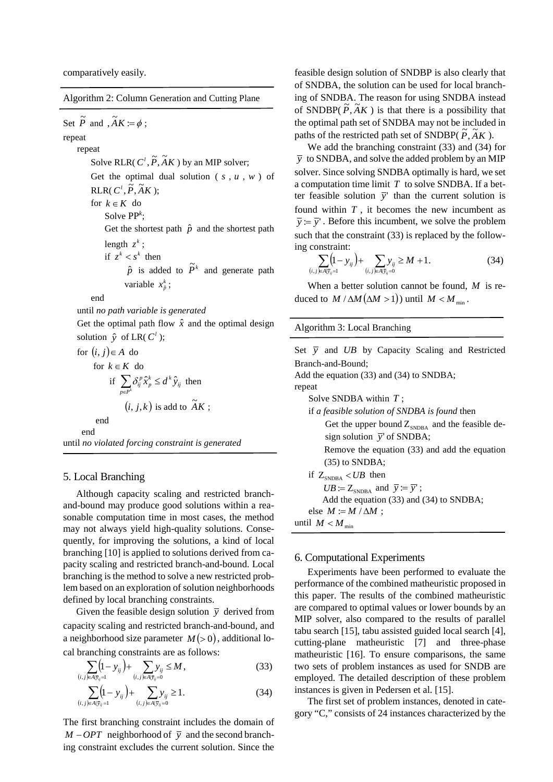comparatively easily.

Algorithm 2: Column Generation and Cutting Plane

Set  $\widetilde{P}$  and  $\widetilde{A}K := \phi$ ; repeat repeat Solve RLR(  $C^i$ ,  $\widetilde{P}$ ,  $\widetilde{A}K$  ) by an MIP solver; Get the optimal dual solution ( *s* , *u* , *w* ) of  $RLR(C^l, \tilde{P}, \tilde{A}K);$ for  $k \in K$  do Solve PP*<sup>k</sup>* ; Get the shortest path  $\hat{p}$  and the shortest path length  $z^k$ ; if  $z^k < s^k$  then  $\hat{p}$  is added to  $\tilde{P}^k$  and generate path variable  $x^k_{\hat{p}}$ ; end

until *no path variable is generated*

Get the optimal path flow  $\hat{x}$  and the optimal design solution  $\hat{y}$  of LR( $C^l$ );

for 
$$
(i, j) \in A
$$
 do  
\nfor  $k \in K$  do  
\nif  $\sum_{p \in P^k} \delta_{ij}^p \hat{x}_p^k \le d^k \hat{y}_{ij}$  then  
\n $(i, j, k)$  is add to  $\tilde{A}K$ ;  
\nend

end

until *no violated forcing constraint is generated*

#### 5. Local Branching

Although capacity scaling and restricted branchand-bound may produce good solutions within a reasonable computation time in most cases, the method may not always yield high-quality solutions. Consequently, for improving the solutions, a kind of local branching [10] is applied to solutions derived from capacity scaling and restricted branch-and-bound. Local branching is the method to solve a new restricted problem based on an exploration of solution neighborhoods defined by local branching constraints.

Given the feasible design solution  $\bar{y}$  derived from capacity scaling and restricted branch-and-bound, and a neighborhood size parameter  $M(>0)$ , additional local branching constraints are as follows:

$$
\sum_{(i,j)\in A|\bar{y}_{ij}=1} \left(1 - y_{ij}\right) + \sum_{(i,j)\in A|\bar{y}_{ij}=0} y_{ij} \le M\,,\tag{33}
$$

$$
\sum_{(i,j)\in A|\bar{y}_{ij}=1} (1 - y_{ij}) + \sum_{(i,j)\in A|\bar{y}_{ij}=0} y_{ij} \ge 1.
$$
 (34)

The first branching constraint includes the domain of *M* − *OPT* neighborhood of  $\overline{y}$  and the second branching constraint excludes the current solution. Since the

feasible design solution of SNDBP is also clearly that of SNDBA, the solution can be used for local branching of SNDBA. The reason for using SNDBA instead of SNDBP( $\tilde{P}, \tilde{A}K$ ) is that there is a possibility that the optimal path set of SNDBA may not be included in paths of the restricted path set of SNDBP( $\tilde{P}, \tilde{A}K$ ).

We add the branching constraint (33) and (34) for  $\overline{y}$  to SNDBA, and solve the added problem by an MIP solver. Since solving SNDBA optimally is hard, we set a computation time limit *T* to solve SNDBA. If a better feasible solution  $\bar{y}$ <sup>'</sup> than the current solution is found within  $T$ , it becomes the new incumbent as  $\overline{y}$  :=  $\overline{y}$ . Before this incumbent, we solve the problem such that the constraint (33) is replaced by the following constraint:

$$
\sum_{(i,j)\in A|\bar{y}_{ij}=1} \left(1 - y_{ij}\right) + \sum_{(i,j)\in A|\bar{y}_{ij}=0} y_{ij} \ge M + 1.
$$
 (34)

When a better solution cannot be found, *M* is reduced to  $M / \Delta M (\Delta M > 1)$ ) until  $M < M_{\text{min}}$ .

#### Algorithm 3: Local Branching

| Set $\bar{y}$ and UB by Capacity Scaling and Restricted        |
|----------------------------------------------------------------|
| Branch-and-Bound;                                              |
| Add the equation (33) and (34) to SNDBA;                       |
| repeat                                                         |
| Solve SNDBA within $T$ ;                                       |
| if a feasible solution of SNDBA is found then                  |
| Get the upper bound $Z_{\text{SNDRA}}$ and the feasible de-    |
| sign solution $\overline{y}$ of SNDBA;                         |
| Remove the equation $(33)$ and add the equation                |
| $(35)$ to SNDBA;                                               |
| if $Z_{\text{SNDBA}} < UB$ then                                |
| $UB := Z_{\text{SNDBA}}$ and $\overline{y} := \overline{y}'$ ; |
| Add the equation (33) and (34) to SNDBA;                       |
| else $M := M / \Delta M$ :                                     |
| until $M < M_{min}$                                            |
|                                                                |

# 6. Computational Experiments

Experiments have been performed to evaluate the performance of the combined matheuristic proposed in this paper. The results of the combined matheuristic are compared to optimal values or lower bounds by an MIP solver, also compared to the results of parallel tabu search [15], tabu assisted guided local search [4], cutting-plane matheuristic [7] and three-phase matheuristic [16]. To ensure comparisons, the same two sets of problem instances as used for SNDB are employed. The detailed description of these problem instances is given in Pedersen et al. [15].

The first set of problem instances, denoted in category "C," consists of 24 instances characterized by the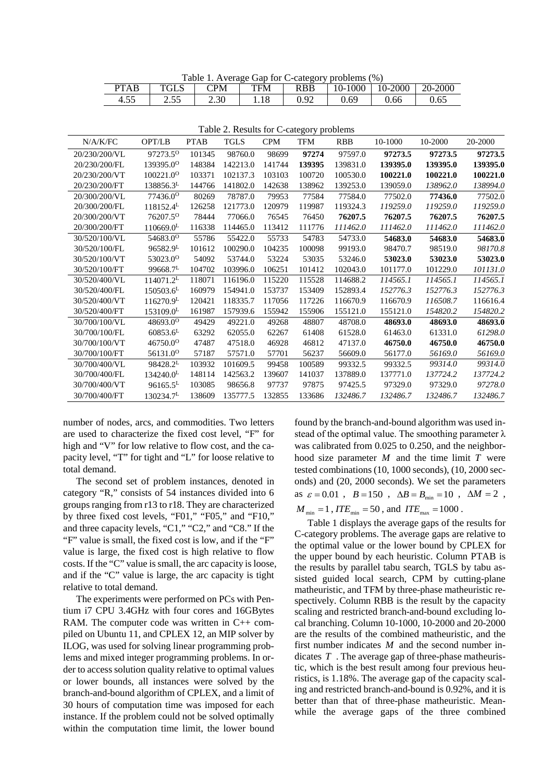Table 1. Average Gap for C-category problems (%)

|                                          | .                                  |                         |            |                       |              |                        |               |
|------------------------------------------|------------------------------------|-------------------------|------------|-----------------------|--------------|------------------------|---------------|
| <b>PTAB</b>                              | <b>TOT</b><br>$\sim$<br>UL)        | $\mathbb{C}\mathrm{PM}$ | <b>TFM</b> | <b>RBB</b>            | 1000<br>.U-1 | 2000<br>$^{\circ}$ O-. | -2000<br>20-. |
|                                          |                                    |                         |            |                       |              |                        |               |
| $\epsilon$ $\epsilon$ $\epsilon$<br>4.5. | $\overline{\phantom{0}}$<br>ر ر. ب | 2.30                    | 1.10       | ነ 01<br>v. <i>) 4</i> | 0.69         | U.66                   | 0.65          |

| Table 2. Results for C-category problems |  |  |
|------------------------------------------|--|--|
|------------------------------------------|--|--|

| N/A/K/FC      | <b>OPT/LB</b>         | <b>PTAB</b> | <b>TGLS</b> | <b>CPM</b> | <b>TFM</b> | <b>RBB</b> | 10-1000  | 10-2000  | 20-2000  |
|---------------|-----------------------|-------------|-------------|------------|------------|------------|----------|----------|----------|
| 20/230/200/VL | 97273.5 <sup>o</sup>  | 101345      | 98760.0     | 98699      | 97274      | 97597.0    | 97273.5  | 97273.5  | 97273.5  |
| 20/230/200/FL | 139395.0 <sup>o</sup> | 148384      | 142213.0    | 141744     | 139395     | 139831.0   | 139395.0 | 139395.0 | 139395.0 |
| 20/230/200/VT | 100221.0 <sup>0</sup> | 103371      | 102137.3    | 103103     | 100720     | 100530.0   | 100221.0 | 100221.0 | 100221.0 |
| 20/230/200/FT | 138856.3L             | 144766      | 141802.0    | 142638     | 138962     | 139253.0   | 139059.0 | 138962.0 | 138994.0 |
| 20/300/200/VL | 77436.0 <sup>o</sup>  | 80269       | 78787.0     | 79953      | 77584      | 77584.0    | 77502.0  | 77436.0  | 77502.0  |
| 20/300/200/FL | 118152.4 <sup>L</sup> | 126258      | 121773.0    | 120979     | 119987     | 119324.3   | 119259.0 | 119259.0 | 119259.0 |
| 20/300/200/VT | 76207.5 <sup>o</sup>  | 78444       | 77066.0     | 76545      | 76450      | 76207.5    | 76207.5  | 76207.5  | 76207.5  |
| 20/300/200/FT | $110669.0^L$          | 116338      | 114465.0    | 113412     | 111776     | 111462.0   | 111462.0 | 111462.0 | 111462.0 |
| 30/520/100/VL | 54683.00              | 55786       | 55422.0     | 55733      | 54783      | 54733.0    | 54683.0  | 54683.0  | 54683.0  |
| 30/520/100/FL | 96582.9 <sup>L</sup>  | 101612      | 100290.0    | 104235     | 100098     | 99193.0    | 98470.7  | 98519.0  | 98170.8  |
| 30/520/100/VT | 53023.00              | 54092       | 53744.0     | 53224      | 53035      | 53246.0    | 53023.0  | 53023.0  | 53023.0  |
| 30/520/100/FT | 99668.7 <sup>L</sup>  | 104702      | 103996.0    | 106251     | 101412     | 102043.0   | 101177.0 | 101229.0 | 101131.0 |
| 30/520/400/VL | $114071.2^L$          | 118071      | 116196.0    | 115220     | 115528     | 114688.2   | 114565.1 | 114565.1 | 114565.1 |
| 30/520/400/FL | $150503.6^L$          | 160979      | 154941.0    | 153737     | 153409     | 152893.4   | 152776.3 | 152776.3 | 152776.3 |
| 30/520/400/VT | $116270.9^L$          | 120421      | 118335.7    | 117056     | 117226     | 116670.9   | 116670.9 | 116508.7 | 116616.4 |
| 30/520/400/FT | $153109.0^L$          | 161987      | 157939.6    | 155942     | 155906     | 155121.0   | 155121.0 | 154820.2 | 154820.2 |
| 30/700/100/VL | 48693.00              | 49429       | 49221.0     | 49268      | 48807      | 48708.0    | 48693.0  | 48693.0  | 48693.0  |
| 30/700/100/FL | $60853.6^L$           | 63292       | 62055.0     | 62267      | 61408      | 61528.0    | 61463.0  | 61331.0  | 61298.0  |
| 30/700/100/VT | 46750.00              | 47487       | 47518.0     | 46928      | 46812      | 47137.0    | 46750.0  | 46750.0  | 46750.0  |
| 30/700/100/FT | 56131.00              | 57187       | 57571.0     | 57701      | 56237      | 56609.0    | 56177.0  | 56169.0  | 56169.0  |
| 30/700/400/VL | 98428.2 <sup>L</sup>  | 103932      | 101609.5    | 99458      | 100589     | 99332.5    | 99332.5  | 99314.0  | 99314.0  |
| 30/700/400/FL | $134240.0^{\text{L}}$ | 148114      | 142563.2    | 139607     | 141037     | 137889.0   | 137771.0 | 137724.2 | 137724.2 |
| 30/700/400/VT | $96165.5^L$           | 103085      | 98656.8     | 97737      | 97875      | 97425.5    | 97329.0  | 97329.0  | 97278.0  |
| 30/700/400/FT | 130234.7 <sup>L</sup> | 138609      | 135777.5    | 132855     | 133686     | 132486.7   | 132486.7 | 132486.7 | 132486.7 |

number of nodes, arcs, and commodities. Two letters are used to characterize the fixed cost level, "F" for high and "V" for low relative to flow cost, and the capacity level, "T" for tight and "L" for loose relative to total demand.

The second set of problem instances, denoted in category "R," consists of 54 instances divided into 6 groups ranging from r13 to r18. They are characterized by three fixed cost levels, "F01," "F05," and "F10," and three capacity levels, "C1," "C2," and "C8." If the "F" value is small, the fixed cost is low, and if the "F" value is large, the fixed cost is high relative to flow costs. If the "C" value is small, the arc capacity is loose, and if the "C" value is large, the arc capacity is tight relative to total demand.

The experiments were performed on PCs with Pentium i7 CPU 3.4GHz with four cores and 16GBytes RAM. The computer code was written in C++ compiled on Ubuntu 11, and CPLEX 12, an MIP solver by ILOG, was used for solving linear programming problems and mixed integer programming problems. In order to access solution quality relative to optimal values or lower bounds, all instances were solved by the branch-and-bound algorithm of CPLEX, and a limit of 30 hours of computation time was imposed for each instance. If the problem could not be solved optimally within the computation time limit, the lower bound found by the branch-and-bound algorithm was used instead of the optimal value. The smoothing parameter  $\lambda$ was calibrated from 0.025 to 0.250, and the neighborhood size parameter *M* and the time limit *T* were tested combinations (10, 1000 seconds), (10, 2000 seconds) and (20, 2000 seconds). We set the parameters as  $\varepsilon = 0.01$ ,  $B = 150$ ,  $\Delta B = B_{\text{min}} = 10$ ,  $\Delta M = 2$ ,

 $M_{\text{min}} = 1$ , *ITE*<sub>min</sub> = 50, and *ITE*<sub>max</sub> = 1000.

Table 1 displays the average gaps of the results for C-category problems. The average gaps are relative to the optimal value or the lower bound by CPLEX for the upper bound by each heuristic. Column PTAB is the results by parallel tabu search, TGLS by tabu assisted guided local search, CPM by cutting-plane matheuristic, and TFM by three-phase matheuristic respectively. Column RBB is the result by the capacity scaling and restricted branch-and-bound excluding local branching. Column 10-1000, 10-2000 and 20-2000 are the results of the combined matheuristic, and the first number indicates *M* and the second number indicates *T* . The average gap of three-phase matheuristic, which is the best result among four previous heuristics, is 1.18%. The average gap of the capacity scaling and restricted branch-and-bound is 0.92%, and it is better than that of three-phase matheuristic. Meanwhile the average gaps of the three combined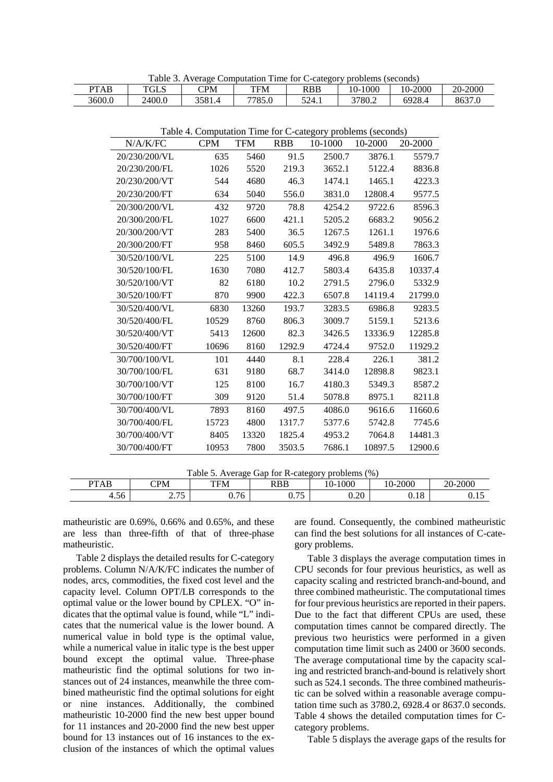Table 3. Average Computation Time for C-category problems (seconds)

| <b>PTAB</b> | $TCT$ $C$<br>ULD | $\mathop{\mathrm{CPM}}$ | TFM            | <b>RBB</b>       | .000<br>$0-$ | $-2000$<br>$0 -$ | -2000<br>20- |
|-------------|------------------|-------------------------|----------------|------------------|--------------|------------------|--------------|
| 3600.0      | 2400.0           | 3581.4                  | 77050<br>78D.U | 524<br>−.⊥<br>ັ້ | 3780.2       | 6928<br>740. C   | 8637.0       |

Table 4. Computation Time for C-category problems (seconds)

| N/A/K/FC      | <b>CPM</b> | <b>TFM</b> | <b>RBB</b> | 10-1000 | 10-2000 | 20-2000 |
|---------------|------------|------------|------------|---------|---------|---------|
| 20/230/200/VL | 635        | 5460       | 91.5       | 2500.7  | 3876.1  | 5579.7  |
| 20/230/200/FL | 1026       | 5520       | 219.3      | 3652.1  | 5122.4  | 8836.8  |
| 20/230/200/VT | 544        | 4680       | 46.3       | 1474.1  | 1465.1  | 4223.3  |
| 20/230/200/FT | 634        | 5040       | 556.0      | 3831.0  | 12808.4 | 9577.5  |
| 20/300/200/VL | 432        | 9720       | 78.8       | 4254.2  | 9722.6  | 8596.3  |
| 20/300/200/FL | 1027       | 6600       | 421.1      | 5205.2  | 6683.2  | 9056.2  |
| 20/300/200/VT | 283        | 5400       | 36.5       | 1267.5  | 1261.1  | 1976.6  |
| 20/300/200/FT | 958        | 8460       | 605.5      | 3492.9  | 5489.8  | 7863.3  |
| 30/520/100/VL | 225        | 5100       | 14.9       | 496.8   | 496.9   | 1606.7  |
| 30/520/100/FL | 1630       | 7080       | 412.7      | 5803.4  | 6435.8  | 10337.4 |
| 30/520/100/VT | 82         | 6180       | 10.2       | 2791.5  | 2796.0  | 5332.9  |
| 30/520/100/FT | 870        | 9900       | 422.3      | 6507.8  | 14119.4 | 21799.0 |
| 30/520/400/VL | 6830       | 13260      | 193.7      | 3283.5  | 6986.8  | 9283.5  |
| 30/520/400/FL | 10529      | 8760       | 806.3      | 3009.7  | 5159.1  | 5213.6  |
| 30/520/400/VT | 5413       | 12600      | 82.3       | 3426.5  | 13336.9 | 12285.8 |
| 30/520/400/FT | 10696      | 8160       | 1292.9     | 4724.4  | 9752.0  | 11929.2 |
| 30/700/100/VL | 101        | 4440       | 8.1        | 228.4   | 226.1   | 381.2   |
| 30/700/100/FL | 631        | 9180       | 68.7       | 3414.0  | 12898.8 | 9823.1  |
| 30/700/100/VT | 125        | 8100       | 16.7       | 4180.3  | 5349.3  | 8587.2  |
| 30/700/100/FT | 309        | 9120       | 51.4       | 5078.8  | 8975.1  | 8211.8  |
| 30/700/400/VL | 7893       | 8160       | 497.5      | 4086.0  | 9616.6  | 11660.6 |
| 30/700/400/FL | 15723      | 4800       | 1317.7     | 5377.6  | 5742.8  | 7745.6  |
| 30/700/400/VT | 8405       | 13320      | 1825.4     | 4953.2  | 7064.8  | 14481.3 |
| 30/700/400/FT | 10953      | 7800       | 3503.5     | 7686.1  | 10897.5 | 12900.6 |

| Table 5.<br>$\sim$ 5. Average Gap for R-category problems (%) |                |           |              |      |      |      |  |  |  |  |  |  |
|---------------------------------------------------------------|----------------|-----------|--------------|------|------|------|--|--|--|--|--|--|
| 20-2000<br>10-1000<br>10-2000<br>CPM<br>PTAB<br>RBB<br>TFM    |                |           |              |      |      |      |  |  |  |  |  |  |
| 4.56                                                          | つ つぐ<br>ر. ا م | 76<br>v., | 75<br>v. 7 J | 0.20 | 0.18 | 0.15 |  |  |  |  |  |  |

matheuristic are 0.69%, 0.66% and 0.65%, and these are less than three-fifth of that of three-phase matheuristic.

Table 2 displays the detailed results for C-category problems. Column N/A/K/FC indicates the number of nodes, arcs, commodities, the fixed cost level and the capacity level. Column OPT/LB corresponds to the optimal value or the lower bound by CPLEX. "O" indicates that the optimal value is found, while "L" indicates that the numerical value is the lower bound. A numerical value in bold type is the optimal value, while a numerical value in italic type is the best upper bound except the optimal value. Three-phase matheuristic find the optimal solutions for two instances out of 24 instances, meanwhile the three combined matheuristic find the optimal solutions for eight or nine instances. Additionally, the combined matheuristic 10-2000 find the new best upper bound for 11 instances and 20-2000 find the new best upper bound for 13 instances out of 16 instances to the exclusion of the instances of which the optimal values are found. Consequently, the combined matheuristic can find the best solutions for all instances of C-category problems.

Table 3 displays the average computation times in CPU seconds for four previous heuristics, as well as capacity scaling and restricted branch-and-bound, and three combined matheuristic. The computational times for four previous heuristics are reported in their papers. Due to the fact that different CPUs are used, these computation times cannot be compared directly. The previous two heuristics were performed in a given computation time limit such as 2400 or 3600 seconds. The average computational time by the capacity scaling and restricted branch-and-bound is relatively short such as 524.1 seconds. The three combined matheuristic can be solved within a reasonable average computation time such as 3780.2, 6928.4 or 8637.0 seconds. Table 4 shows the detailed computation times for Ccategory problems.

Table 5 displays the average gaps of the results for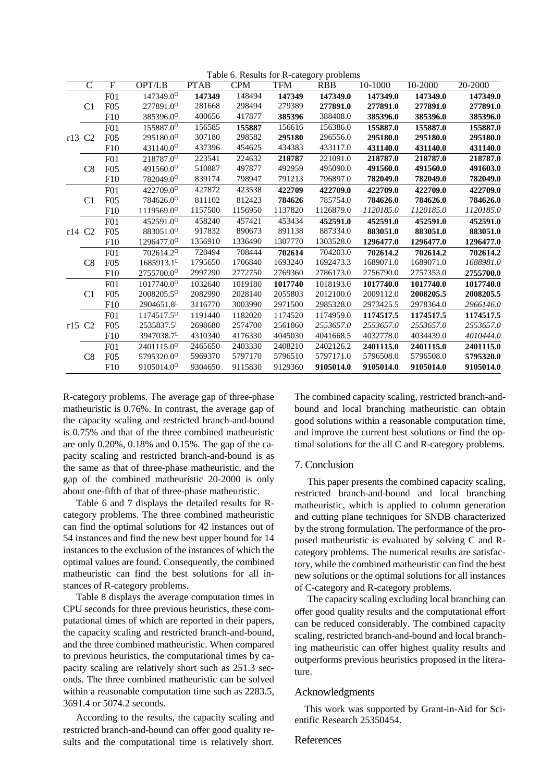|        |                |                 |                        |             |            |            | Table 6. Results for R-category problems |           |           |           |
|--------|----------------|-----------------|------------------------|-------------|------------|------------|------------------------------------------|-----------|-----------|-----------|
|        | $\mathsf{C}$   | F               | OPT/LB                 | <b>PTAB</b> | <b>CPM</b> | <b>TFM</b> | <b>RBB</b>                               | 10-1000   | 10-2000   | 20-2000   |
|        |                | F01             | 147349.00              | 147349      | 148494     | 147349     | 147349.0                                 | 147349.0  | 147349.0  | 147349.0  |
|        | C <sub>1</sub> | F05             | 277891.0 <sup>o</sup>  | 281668      | 298494     | 279389     | 277891.0                                 | 277891.0  | 277891.0  | 277891.0  |
|        |                | F10             | 385396.0 <sup>0</sup>  | 400656      | 417877     | 385396     | 388408.0                                 | 385396.0  | 385396.0  | 385396.0  |
|        |                | F01             | 155887.00              | 156585      | 155887     | 156616     | 156386.0                                 | 155887.0  | 155887.0  | 155887.0  |
|        | r13 C2         | F05             | 295180.00              | 307180      | 298582     | 295180     | 296556.0                                 | 295180.0  | 295180.0  | 295180.0  |
|        |                | F10             | 431140.00              | 437396      | 454625     | 434383     | 433117.0                                 | 431140.0  | 431140.0  | 431140.0  |
|        |                | F01             | 218787.00              | 223541      | 224632     | 218787     | 221091.0                                 | 218787.0  | 218787.0  | 218787.0  |
|        | C8             | F05             | 491560.00              | 510887      | 497877     | 492959     | 495090.0                                 | 491560.0  | 491560.0  | 491603.0  |
|        |                | F10             | 782049.0 <sup>o</sup>  | 839174      | 798947     | 791213     | 796897.0                                 | 782049.0  | 782049.0  | 782049.0  |
|        |                | F01             | 422709.0 <sup>o</sup>  | 427872      | 423538     | 422709     | 422709.0                                 | 422709.0  | 422709.0  | 422709.0  |
|        | C <sub>1</sub> | F05             | 784626.0 <sup>o</sup>  | 811102      | 812423     | 784626     | 785754.0                                 | 784626.0  | 784626.0  | 784626.0  |
|        |                | F10             | 1119569.00             | 1157500     | 1156950    | 1137820    | 1126879.0                                | 1120185.0 | 1120185.0 | 1120185.0 |
|        |                | F01             | 452591.00              | 458240      | 457421     | 453434     | 452591.0                                 | 452591.0  | 452591.0  | 452591.0  |
| r14 C2 |                | F05             | 883051.0 <sup>0</sup>  | 917832      | 890673     | 891138     | 887334.0                                 | 883051.0  | 883051.0  | 883051.0  |
|        |                | F10             | 1296477.0 <sup>o</sup> | 1356910     | 1336490    | 1307770    | 1303528.0                                | 1296477.0 | 1296477.0 | 1296477.0 |
|        |                | F <sub>01</sub> | 702614.2 <sup>0</sup>  | 720494      | 708444     | 702614     | 704203.0                                 | 702614.2  | 702614.2  | 702614.2  |
|        | C8             | F05             | $1685913.1^L$          | 1795650     | 1706840    | 1693240    | 1692473.3                                | 1689071.0 | 1689071.0 | 1688981.0 |
|        |                | F10             | 2755700.0 <sup>o</sup> | 2997290     | 2772750    | 2769360    | 2786173.0                                | 2756790.0 | 2757353.0 | 2755700.0 |
|        |                | F01             | 1017740.00             | 1032640     | 1019180    | 1017740    | 1018193.0                                | 1017740.0 | 1017740.0 | 1017740.0 |
|        | C <sub>1</sub> | F05             | 2008205.50             | 2082990     | 2028140    | 2055803    | 2012100.0                                | 2009112.0 | 2008205.5 | 2008205.5 |
|        |                | F10             | 2904651.8L             | 3116770     | 3003990    | 2971500    | 2985328.0                                | 2973425.5 | 2978364.0 | 2966146.0 |
|        |                | F <sub>01</sub> | 1174517.50             | 1191440     | 1182020    | 1174520    | 1174959.0                                | 1174517.5 | 1174517.5 | 1174517.5 |
|        | r15 C2         | F05             | $2535837.5^L$          | 2698680     | 2574700    | 2561060    | 2553657.0                                | 2553657.0 | 2553657.0 | 2553657.0 |
|        |                | F10             | 3947038.7 <sup>L</sup> | 4310340     | 4176330    | 4045030    | 4041668.5                                | 4032778.0 | 4034439.0 | 4010444.0 |
|        |                | F <sub>01</sub> | 2401115.00             | 2465650     | 2403330    | 2408210    | 2402126.2                                | 2401115.0 | 2401115.0 | 2401115.0 |
|        | C8             | F05             | 5795320.0 <sup>o</sup> | 5969370     | 5797170    | 5796510    | 5797171.0                                | 5796508.0 | 5796508.0 | 5795320.0 |
|        |                | F10             | 9105014.0 <sup>o</sup> | 9304650     | 9115830    | 9129360    | 9105014.0                                | 9105014.0 | 9105014.0 | 9105014.0 |
|        |                |                 |                        |             |            |            |                                          |           |           |           |

R-category problems. The average gap of three-phase matheuristic is 0.76%. In contrast, the average gap of the capacity scaling and restricted branch-and-bound is 0.75% and that of the three combined matheuristic are only 0.20%, 0.18% and 0.15%. The gap of the capacity scaling and restricted branch-and-bound is as the same as that of three-phase matheuristic, and the gap of the combined matheuristic 20-2000 is only about one-fifth of that of three-phase matheuristic.

Table 6 and 7 displays the detailed results for Rcategory problems. The three combined matheuristic can find the optimal solutions for 42 instances out of 54 instances and find the new best upper bound for 14 instances to the exclusion of the instances of which the optimal values are found. Consequently, the combined matheuristic can find the best solutions for all instances of R-category problems.

Table 8 displays the average computation times in CPU seconds for three previous heuristics, these computational times of which are reported in their papers, the capacity scaling and restricted branch-and-bound, and the three combined matheuristic. When compared to previous heuristics, the computational times by capacity scaling are relatively short such as 251.3 seconds. The three combined matheuristic can be solved within a reasonable computation time such as 2283.5, 3691.4 or 5074.2 seconds.

According to the results, the capacity scaling and restricted branch-and-bound can offer good quality results and the computational time is relatively short. The combined capacity scaling, restricted branch-andbound and local branching matheuristic can obtain good solutions within a reasonable computation time, and improve the current best solutions or find the optimal solutions for the all C and R-category problems.

# 7. Conclusion

This paper presents the combined capacity scaling, restricted branch-and-bound and local branching matheuristic, which is applied to column generation and cutting plane techniques for SNDB characterized by the strong formulation. The performance of the proposed matheuristic is evaluated by solving C and Rcategory problems. The numerical results are satisfactory, while the combined matheuristic can find the best new solutions or the optimal solutions for all instances of C-category and R-category problems.

The capacity scaling excluding local branching can offer good quality results and the computational effort can be reduced considerably. The combined capacity scaling, restricted branch-and-bound and local branching matheuristic can offer highest quality results and outperforms previous heuristics proposed in the literature.

#### Acknowledgments

This work was supported by Grant-in-Aid for Scientific Research 25350454.

## References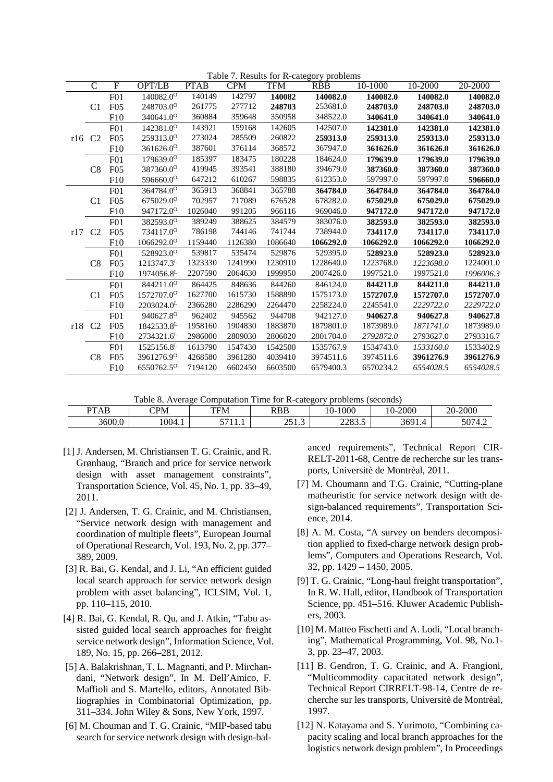|     |                |                 |                        |             |            |            | Table 7. Results for R-category problems |           |           |           |
|-----|----------------|-----------------|------------------------|-------------|------------|------------|------------------------------------------|-----------|-----------|-----------|
|     | $\mathcal{C}$  | $\mathbf{F}$    | OPT/LB                 | <b>PTAB</b> | <b>CPM</b> | <b>TFM</b> | <b>RBB</b>                               | 10-1000   | 10-2000   | 20-2000   |
|     |                | F01             | 140082.0 <sup>0</sup>  | 140149      | 142797     | 140082     | 140082.0                                 | 140082.0  | 140082.0  | 140082.0  |
|     | C <sub>1</sub> | F <sub>05</sub> | 248703.0 <sup>o</sup>  | 261775      | 277712     | 248703     | 253681.0                                 | 248703.0  | 248703.0  | 248703.0  |
|     |                | F10             | 340641.0 <sup>o</sup>  | 360884      | 359648     | 350958     | 348522.0                                 | 340641.0  | 340641.0  | 340641.0  |
|     |                | F01             | 142381.0 <sup>0</sup>  | 143921      | 159168     | 142605     | 142507.0                                 | 142381.0  | 142381.0  | 142381.0  |
| r16 | C <sub>2</sub> | F05             | 259313.00              | 273024      | 285509     | 260822     | 259313.0                                 | 259313.0  | 259313.0  | 259313.0  |
|     |                | F10             | 361626.0 <sup>0</sup>  | 387601      | 376114     | 368572     | 367947.0                                 | 361626.0  | 361626.0  | 361626.0  |
|     |                | F <sub>01</sub> | 179639.00              | 185397      | 183475     | 180228     | 184624.0                                 | 179639.0  | 179639.0  | 179639.0  |
|     | C8             | F05             | 387360.00              | 419945      | 393541     | 388180     | 394679.0                                 | 387360.0  | 387360.0  | 387360.0  |
|     |                | F10             | 596660.0 <sup>0</sup>  | 647212      | 610267     | 598835     | 612353.0                                 | 597997.0  | 597997.0  | 596660.0  |
|     |                | F01             | 364784.0 <sup>0</sup>  | 365913      | 368841     | 365788     | 364784.0                                 | 364784.0  | 364784.0  | 364784.0  |
|     | C <sub>1</sub> | F05             | 675029.0 <sup>o</sup>  | 702957      | 717089     | 676528     | 678282.0                                 | 675029.0  | 675029.0  | 675029.0  |
|     |                | F10             | 947172.0 <sup>o</sup>  | 1026040     | 991205     | 966116     | 969046.0                                 | 947172.0  | 947172.0  | 947172.0  |
|     | C <sub>2</sub> | F01             | 382593.00              | 389249      | 388625     | 384579     | 383076.0                                 | 382593.0  | 382593.0  | 382593.0  |
| r17 |                | F05             | 734117.0 <sup>0</sup>  | 786198      | 744146     | 741744     | 738944.0                                 | 734117.0  | 734117.0  | 734117.0  |
|     |                | F10             | 1066292.0 <sup>0</sup> | 1159440     | 1126380    | 1086640    | 1066292.0                                | 1066292.0 | 1066292.0 | 1066292.0 |
|     |                | F <sub>01</sub> | 528923.00              | 539817      | 535474     | 529876     | 529395.0                                 | 528923.0  | 528923.0  | 528923.0  |
|     | C8             | F05             | $1213747.3^L$          | 1323330     | 1241990    | 1230910    | 1228640.0                                | 1223768.0 | 1223698.0 | 1224001.0 |
|     |                | F10             | 1974056.8L             | 2207590     | 2064630    | 1999950    | 2007426.0                                | 1997521.0 | 1997521.0 | 1996006.3 |
|     |                | F01             | 844211.0 <sup>o</sup>  | 864425      | 848636     | 844260     | 846124.0                                 | 844211.0  | 844211.0  | 844211.0  |
|     | C <sub>1</sub> | F05             | 1572707.0 <sup>o</sup> | 1627700     | 1615730    | 1588890    | 1575173.0                                | 1572707.0 | 1572707.0 | 1572707.0 |
|     |                | F10             | $2203024.0^L$          | 2366280     | 2286290    | 2264470    | 2258224.0                                | 2245541.0 | 2229722.0 | 2229722.0 |
|     |                | F01             | 940627.8 <sup>0</sup>  | 962402      | 945562     | 944708     | 942127.0                                 | 940627.8  | 940627.8  | 940627.8  |
| r18 | C <sub>2</sub> | F05             | 1842533.8 <sup>L</sup> | 1958160     | 1904830    | 1883870    | 1879801.0                                | 1873989.0 | 1871741.0 | 1873989.0 |
|     |                | F10             | $2734321.6^L$          | 2986000     | 2809030    | 2806020    | 2801704.0                                | 2792872.0 | 2793627.0 | 2793316.7 |
|     |                | F01             | 1525156.8 <sup>L</sup> | 1613790     | 1547430    | 1542500    | 1535767.9                                | 1534743.0 | 1533160.0 | 1533402.9 |
|     | C8             | F05             | 3961276.9 <sup>0</sup> | 4268580     | 3961280    | 4039410    | 3974511.6                                | 3974511.6 | 3961276.9 | 3961276.9 |
|     |                | F10             | 6550762.50             | 7194120     | 6602450    | 6603500    | 6579400.3                                | 6570234.2 | 6554028.5 | 6554028.5 |

 $T<sub>1</sub>1.1.7 R<sub>2</sub> = 16.6 R<sub>2</sub> R<sub>1</sub>$ 

Table 8. Average Computation Time for R-category problems (seconds)

| PTAP   | CPM    | TFM                    | RBB             | 1000                                       | -2000      | -2000                                 |
|--------|--------|------------------------|-----------------|--------------------------------------------|------------|---------------------------------------|
| . AU   |        |                        |                 | $10-$                                      | 10-        | 20-                                   |
| 3600.0 | 1004.1 | ----<br>$\cdot$ .<br>ັ | n = 1<br>ر. د ب | 2202<br>$\overline{\phantom{0}}$<br>2200.0 | 3691<br>., | $F \cap T$ $A$ $C$<br>JU /<br>$'$ 4.4 |

- [1] J. Andersen, M. Christiansen T. G. Crainic, and R. Grønhaug, "Branch and price for service network design with asset management constraints", Transportation Science, Vol. 45, No. 1, pp. 33–49, 2011.
- [2] J. Andersen, T. G. Crainic, and M. Christiansen, "Service network design with management and coordination of multiple fleets", European Journal of Operational Research, Vol. 193, No. 2, pp. 377– 389, 2009.
- [3] R. Bai, G. Kendal, and J. Li, "An efficient guided local search approach for service network design problem with asset balancing", ICLSIM, Vol. 1, pp. 110–115, 2010.
- [4] R. Bai, G. Kendal, R. Qu, and J. Atkin, "Tabu assisted guided local search approaches for freight service network design", Information Science, Vol. 189, No. 15, pp. 266–281, 2012.
- [5] A. Balakrishnan, T. L. Magnanti, and P. Mirchandani, "Network design", In M. Dell'Amico, F. Maffioli and S. Martello, editors, Annotated Bibliographies in Combinatorial Optimization, pp. 311–334. John Wiley & Sons, New York, 1997.
- [6] M. Chouman and T. G. Crainic, "MIP-based tabu search for service network design with design-bal-

anced requirements", Technical Report CIR-RELT-2011-68, Centre de recherche sur les transports, Universitè de Montrèal, 2011.

- [7] M. Choumann and T.G. Crainic, "Cutting-plane matheuristic for service network design with design-balanced requirements", Transportation Science, 2014.
- [8] A. M. Costa, "A survey on benders decomposition applied to fixed-charge network design problems", Computers and Operations Research, Vol. 32, pp. 1429 – 1450, 2005.
- [9] T. G. Crainic, "Long-haul freight transportation", In R. W. Hall, editor, Handbook of Transportation Science, pp. 451–516. Kluwer Academic Publishers, 2003.
- [10] M. Matteo Fischetti and A. Lodi, "Local branching", Mathematical Programming, Vol. 98, No.1- 3, pp. 23–47, 2003.
- [11] B. Gendron, T. G. Crainic, and A. Frangioni, "Multicommodity capacitated network design", Technical Report CIRRELT-98-14, Centre de recherche sur les transports, Universitè de Montrèal, 1997.
- [12] N. Katayama and S. Yurimoto, "Combining capacity scaling and local branch approaches for the logistics network design problem", In Proceedings